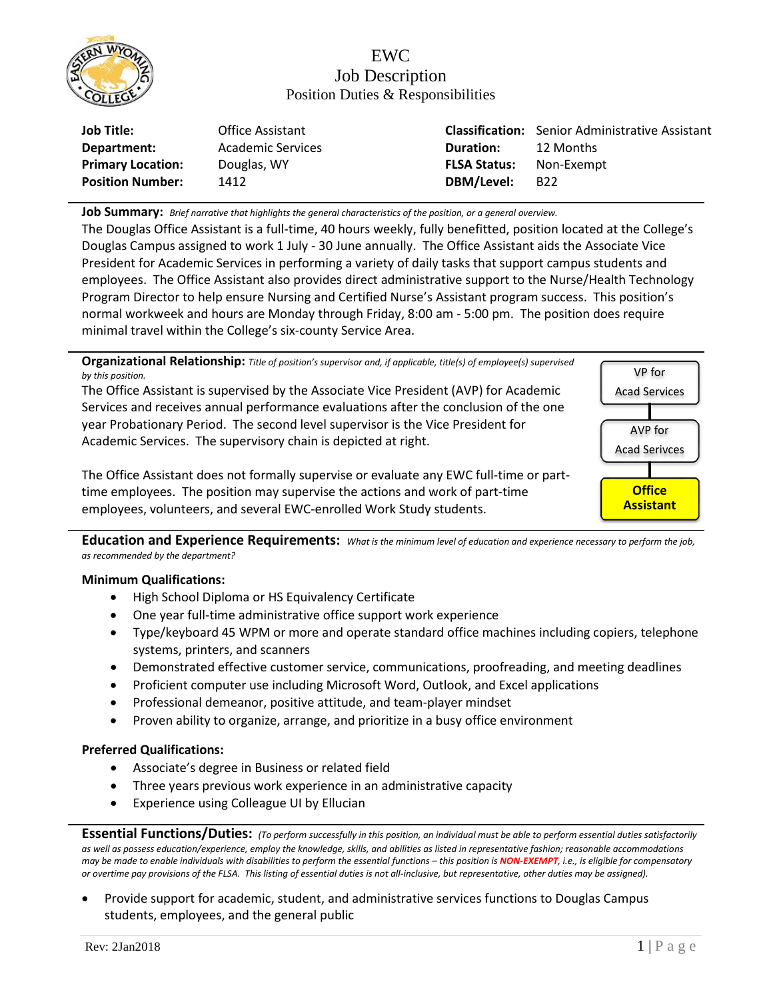

## EWC Job Description Position Duties & Responsibilities

| <b>Job Title:</b>        | Office Assistant  |                     | <b>Classification:</b> Senior Administrative Assistant |
|--------------------------|-------------------|---------------------|--------------------------------------------------------|
| Department:              | Academic Services | <b>Duration:</b>    | 12 Months                                              |
| <b>Primary Location:</b> | Douglas, WY       | <b>FLSA Status:</b> | Non-Exempt                                             |
| <b>Position Number:</b>  | 1412              | DBM/Level:          | B22                                                    |

**Job Summary:** *Brief narrative that highlights the general characteristics of the position, or a general overview.*

The Douglas Office Assistant is a full-time, 40 hours weekly, fully benefitted, position located at the College's Douglas Campus assigned to work 1 July - 30 June annually. The Office Assistant aids the Associate Vice President for Academic Services in performing a variety of daily tasks that support campus students and employees. The Office Assistant also provides direct administrative support to the Nurse/Health Technology Program Director to help ensure Nursing and Certified Nurse's Assistant program success. This position's normal workweek and hours are Monday through Friday, 8:00 am - 5:00 pm. The position does require minimal travel within the College's six-county Service Area.

**Organizational Relationship:** *Title of position's supervisor and, if applicable, title(s) of employee(s) supervised by this position.*

The Office Assistant is supervised by the Associate Vice President (AVP) for Academic Services and receives annual performance evaluations after the conclusion of the one year Probationary Period. The second level supervisor is the Vice President for Academic Services. The supervisory chain is depicted at right.



The Office Assistant does not formally supervise or evaluate any EWC full-time or parttime employees. The position may supervise the actions and work of part-time employees, volunteers, and several EWC-enrolled Work Study students.

**Education and Experience Requirements:** *What is the minimum level of education and experience necessary to perform the job, as recommended by the department?*

## **Minimum Qualifications:**

- High School Diploma or HS Equivalency Certificate
- One year full-time administrative office support work experience
- Type/keyboard 45 WPM or more and operate standard office machines including copiers, telephone systems, printers, and scanners
- Demonstrated effective customer service, communications, proofreading, and meeting deadlines
- Proficient computer use including Microsoft Word, Outlook, and Excel applications
- Professional demeanor, positive attitude, and team-player mindset
- Proven ability to organize, arrange, and prioritize in a busy office environment

## **Preferred Qualifications:**

- Associate's degree in Business or related field
- Three years previous work experience in an administrative capacity
- Experience using Colleague UI by Ellucian

**Essential Functions/Duties:** *(To perform successfully in this position, an individual must be able to perform essential duties satisfactorily as well as possess education/experience, employ the knowledge, skills, and abilities as listed in representative fashion; reasonable accommodations may be made to enable individuals with disabilities to perform the essential functions – this position is NON-EXEMPT, i.e., is eligible for compensatory or overtime pay provisions of the FLSA. This listing of essential duties is not all-inclusive, but representative, other duties may be assigned).*

• Provide support for academic, student, and administrative services functions to Douglas Campus students, employees, and the general public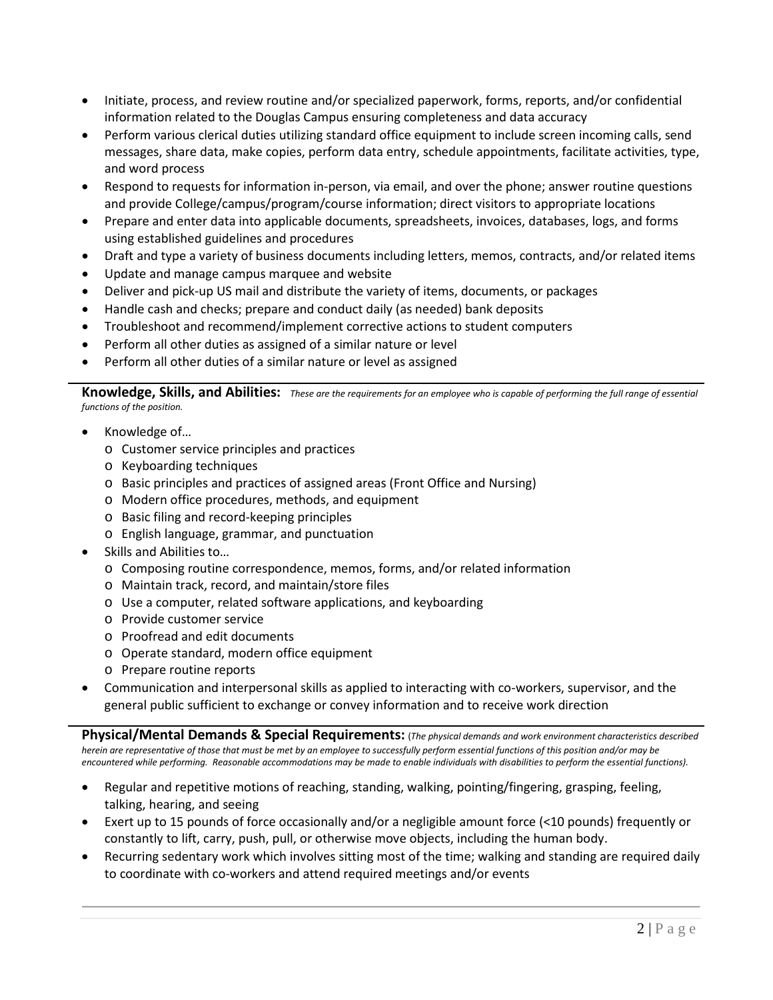- Initiate, process, and review routine and/or specialized paperwork, forms, reports, and/or confidential information related to the Douglas Campus ensuring completeness and data accuracy
- Perform various clerical duties utilizing standard office equipment to include screen incoming calls, send messages, share data, make copies, perform data entry, schedule appointments, facilitate activities, type, and word process
- Respond to requests for information in-person, via email, and over the phone; answer routine questions and provide College/campus/program/course information; direct visitors to appropriate locations
- Prepare and enter data into applicable documents, spreadsheets, invoices, databases, logs, and forms using established guidelines and procedures
- Draft and type a variety of business documents including letters, memos, contracts, and/or related items
- Update and manage campus marquee and website
- Deliver and pick-up US mail and distribute the variety of items, documents, or packages
- Handle cash and checks; prepare and conduct daily (as needed) bank deposits
- Troubleshoot and recommend/implement corrective actions to student computers
- Perform all other duties as assigned of a similar nature or level
- Perform all other duties of a similar nature or level as assigned

**Knowledge, Skills, and Abilities:** *These are the requirements for an employee who is capable of performing the full range of essential functions of the position.*

- Knowledge of…
	- o Customer service principles and practices
	- o Keyboarding techniques
	- o Basic principles and practices of assigned areas (Front Office and Nursing)
	- o Modern office procedures, methods, and equipment
	- o Basic filing and record-keeping principles
	- o English language, grammar, and punctuation
- Skills and Abilities to…
	- o Composing routine correspondence, memos, forms, and/or related information
	- o Maintain track, record, and maintain/store files
	- o Use a computer, related software applications, and keyboarding
	- o Provide customer service
	- o Proofread and edit documents
	- o Operate standard, modern office equipment
	- o Prepare routine reports
- Communication and interpersonal skills as applied to interacting with co-workers, supervisor, and the general public sufficient to exchange or convey information and to receive work direction

**Physical/Mental Demands & Special Requirements:** (*The physical demands and work environment characteristics described herein are representative of those that must be met by an employee to successfully perform essential functions of this position and/or may be encountered while performing. Reasonable accommodations may be made to enable individuals with disabilities to perform the essential functions).*

- Regular and repetitive motions of reaching, standing, walking, pointing/fingering, grasping, feeling, talking, hearing, and seeing
- Exert up to 15 pounds of force occasionally and/or a negligible amount force (<10 pounds) frequently or constantly to lift, carry, push, pull, or otherwise move objects, including the human body.
- Recurring sedentary work which involves sitting most of the time; walking and standing are required daily to coordinate with co-workers and attend required meetings and/or events